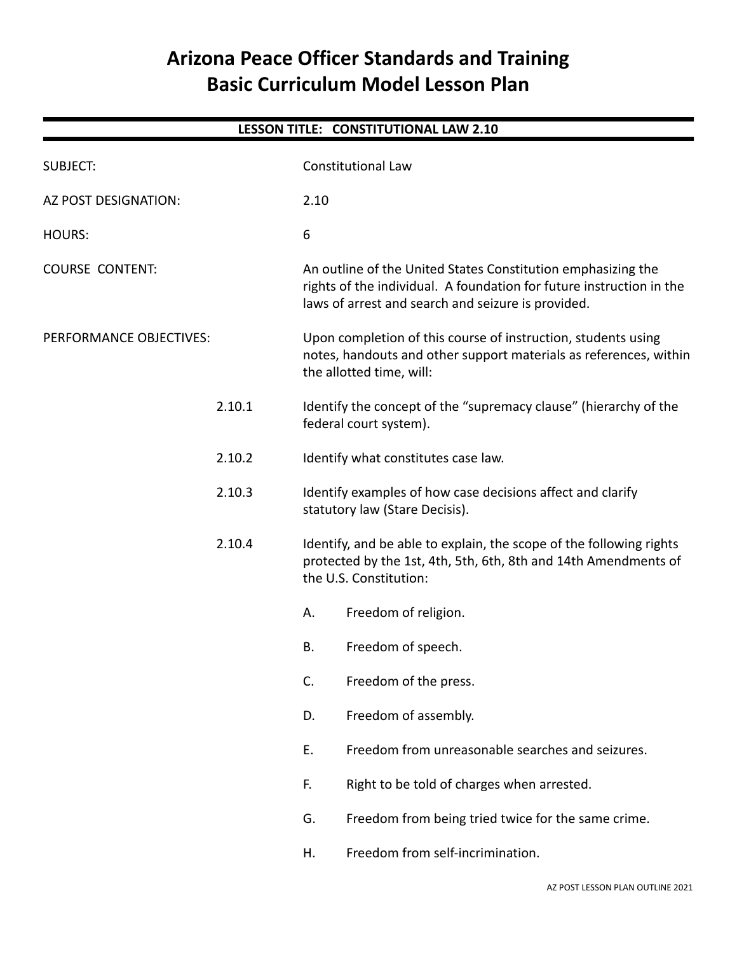# **Arizona Peace Officer Standards and Training Basic Curriculum Model Lesson Plan**

| LESSON TITLE: CONSTITUTIONAL LAW 2.10 |      |                                                                                                                                                                                            |  |
|---------------------------------------|------|--------------------------------------------------------------------------------------------------------------------------------------------------------------------------------------------|--|
| <b>SUBJECT:</b>                       |      | <b>Constitutional Law</b>                                                                                                                                                                  |  |
| AZ POST DESIGNATION:                  | 2.10 |                                                                                                                                                                                            |  |
| <b>HOURS:</b>                         | 6    |                                                                                                                                                                                            |  |
| <b>COURSE CONTENT:</b>                |      | An outline of the United States Constitution emphasizing the<br>rights of the individual. A foundation for future instruction in the<br>laws of arrest and search and seizure is provided. |  |
| PERFORMANCE OBJECTIVES:               |      | Upon completion of this course of instruction, students using<br>notes, handouts and other support materials as references, within<br>the allotted time, will:                             |  |
| 2.10.1                                |      | Identify the concept of the "supremacy clause" (hierarchy of the<br>federal court system).                                                                                                 |  |
| 2.10.2                                |      | Identify what constitutes case law.                                                                                                                                                        |  |
| 2.10.3                                |      | Identify examples of how case decisions affect and clarify<br>statutory law (Stare Decisis).                                                                                               |  |
| 2.10.4                                |      | Identify, and be able to explain, the scope of the following rights<br>protected by the 1st, 4th, 5th, 6th, 8th and 14th Amendments of<br>the U.S. Constitution:                           |  |
|                                       | Α.   | Freedom of religion.                                                                                                                                                                       |  |
|                                       | B.   | Freedom of speech.                                                                                                                                                                         |  |
|                                       | C.   | Freedom of the press.                                                                                                                                                                      |  |
|                                       | D.   | Freedom of assembly.                                                                                                                                                                       |  |
|                                       | Ε.   | Freedom from unreasonable searches and seizures.                                                                                                                                           |  |
|                                       | F.   | Right to be told of charges when arrested.                                                                                                                                                 |  |
|                                       | G.   | Freedom from being tried twice for the same crime.                                                                                                                                         |  |
|                                       | Η.   | Freedom from self-incrimination.                                                                                                                                                           |  |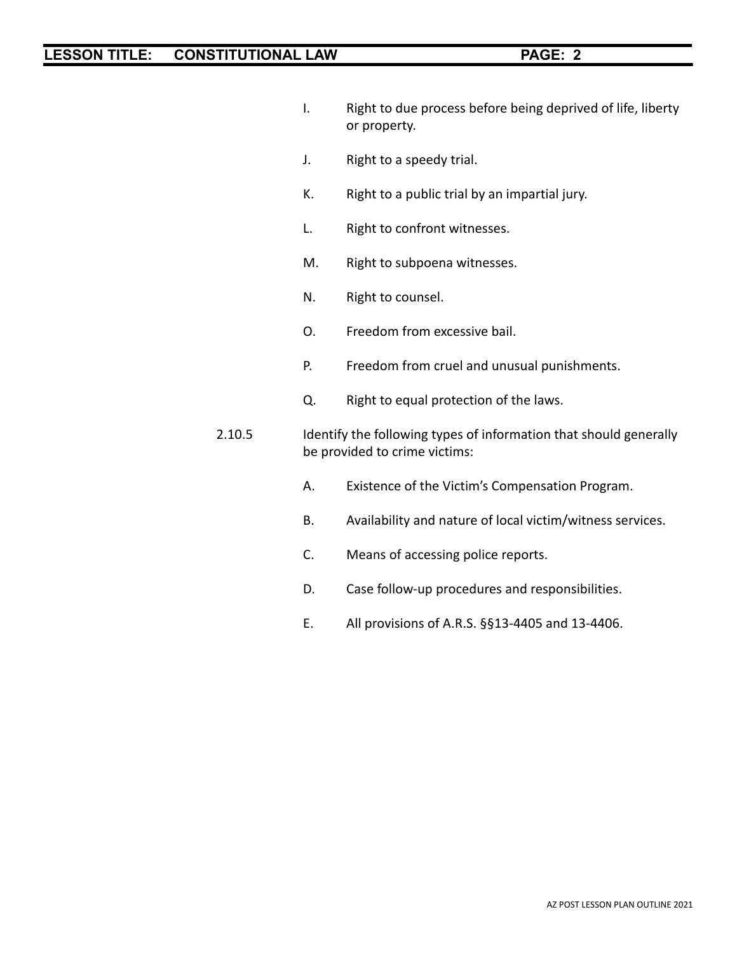- I. Right to due process before being deprived of life, liberty or property.
- J. Right to a speedy trial.
- K. Right to a public trial by an impartial jury.
- L. Right to confront witnesses.
- M. Right to subpoena witnesses.
- N. Right to counsel.
- O. Freedom from excessive bail.
- P. Freedom from cruel and unusual punishments.
- Q. Right to equal protection of the laws.
- 2.10.5 Identify the following types of information that should generally be provided to crime victims:
	- A. Existence of the Victim's Compensation Program.
	- B. Availability and nature of local victim/witness services.
	- C. Means of accessing police reports.
	- D. Case follow-up procedures and responsibilities.
	- E. All provisions of A.R.S. §§13-4405 and 13-4406.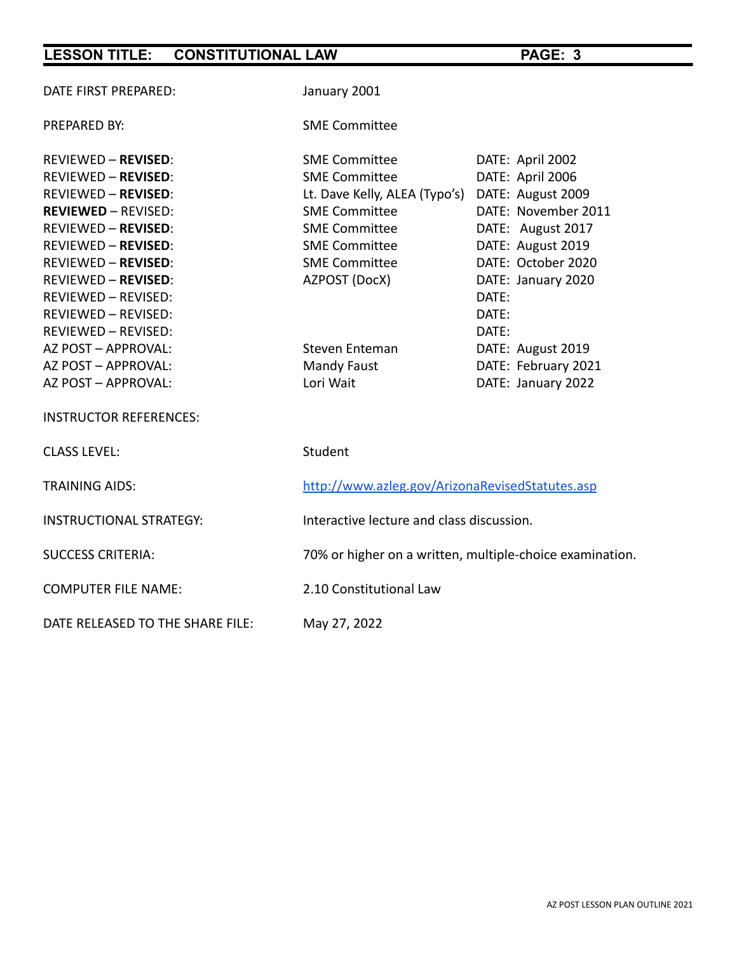| DATE FIRST PREPARED:             | January 2001                                             |                     |
|----------------------------------|----------------------------------------------------------|---------------------|
| <b>PREPARED BY:</b>              | <b>SME Committee</b>                                     |                     |
| <b>REVIEWED - REVISED:</b>       | <b>SME Committee</b>                                     | DATE: April 2002    |
| <b>REVIEWED - REVISED:</b>       | <b>SME Committee</b>                                     | DATE: April 2006    |
| <b>REVIEWED - REVISED:</b>       | Lt. Dave Kelly, ALEA (Typo's) DATE: August 2009          |                     |
| <b>REVIEWED - REVISED:</b>       | <b>SME Committee</b>                                     | DATE: November 2011 |
| <b>REVIEWED - REVISED:</b>       | <b>SME Committee</b>                                     | DATE: August 2017   |
| <b>REVIEWED - REVISED:</b>       | <b>SME Committee</b>                                     | DATE: August 2019   |
| <b>REVIEWED - REVISED:</b>       | <b>SME Committee</b>                                     | DATE: October 2020  |
| <b>REVIEWED - REVISED:</b>       | AZPOST (DocX)                                            | DATE: January 2020  |
| REVIEWED - REVISED:              |                                                          | DATE:               |
| REVIEWED - REVISED:              |                                                          | DATE:               |
| REVIEWED - REVISED:              |                                                          | DATE:               |
| AZ POST - APPROVAL:              | Steven Enteman                                           | DATE: August 2019   |
| AZ POST - APPROVAL:              | Mandy Faust                                              | DATE: February 2021 |
| AZ POST - APPROVAL:              | Lori Wait                                                | DATE: January 2022  |
| <b>INSTRUCTOR REFERENCES:</b>    |                                                          |                     |
| <b>CLASS LEVEL:</b>              | Student                                                  |                     |
| <b>TRAINING AIDS:</b>            | http://www.azleg.gov/ArizonaRevisedStatutes.asp          |                     |
| <b>INSTRUCTIONAL STRATEGY:</b>   | Interactive lecture and class discussion.                |                     |
| <b>SUCCESS CRITERIA:</b>         | 70% or higher on a written, multiple-choice examination. |                     |
| <b>COMPUTER FILE NAME:</b>       | 2.10 Constitutional Law                                  |                     |
| DATE RELEASED TO THE SHARE FILE: | May 27, 2022                                             |                     |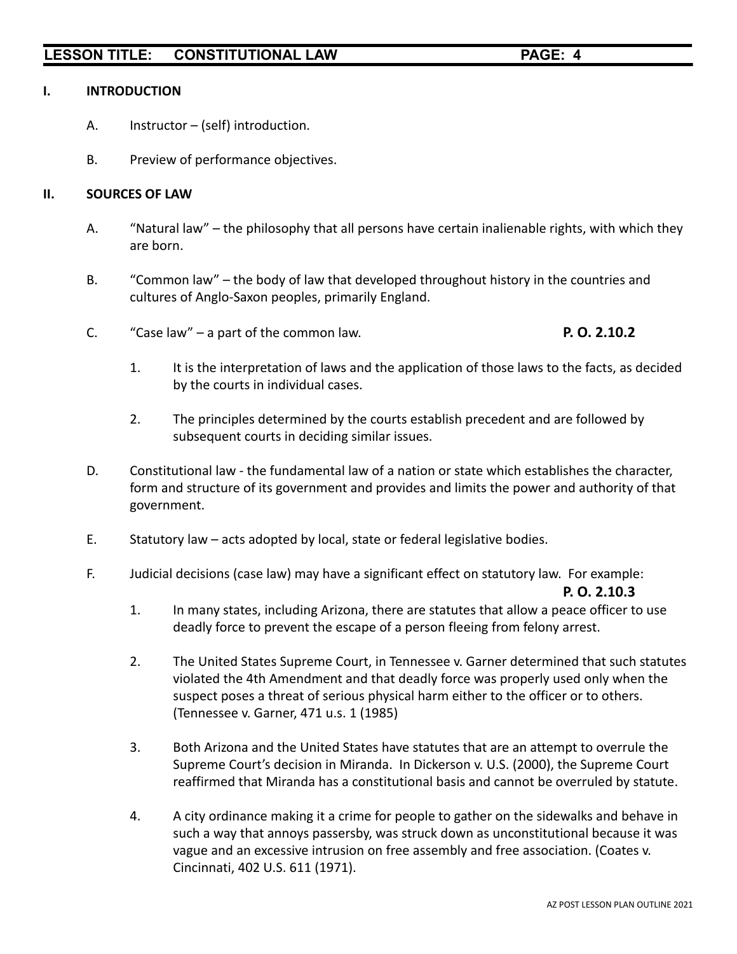#### **I. INTRODUCTION**

- A. Instructor (self) introduction.
- B. Preview of performance objectives.

#### **II. SOURCES OF LAW**

- A. "Natural law" the philosophy that all persons have certain inalienable rights, with which they are born.
- B. "Common law" the body of law that developed throughout history in the countries and cultures of Anglo-Saxon peoples, primarily England.
- C. "Case law" a part of the common law. **P. O. 2.10.2**

- 1. It is the interpretation of laws and the application of those laws to the facts, as decided by the courts in individual cases.
- 2. The principles determined by the courts establish precedent and are followed by subsequent courts in deciding similar issues.
- D. Constitutional law the fundamental law of a nation or state which establishes the character, form and structure of its government and provides and limits the power and authority of that government.
- E. Statutory law acts adopted by local, state or federal legislative bodies.
- F. Judicial decisions (case law) may have a significant effect on statutory law. For example:

#### **P. O. 2.10.3**

- 1. In many states, including Arizona, there are statutes that allow a peace officer to use deadly force to prevent the escape of a person fleeing from felony arrest.
- 2. The United States Supreme Court, in Tennessee v. Garner determined that such statutes violated the 4th Amendment and that deadly force was properly used only when the suspect poses a threat of serious physical harm either to the officer or to others. (Tennessee v. Garner, 471 u.s. 1 (1985)
- 3. Both Arizona and the United States have statutes that are an attempt to overrule the Supreme Court's decision in Miranda. In Dickerson v. U.S. (2000), the Supreme Court reaffirmed that Miranda has a constitutional basis and cannot be overruled by statute.
- 4. A city ordinance making it a crime for people to gather on the sidewalks and behave in such a way that annoys passersby, was struck down as unconstitutional because it was vague and an excessive intrusion on free assembly and free association. (Coates v. Cincinnati, 402 U.S. 611 (1971).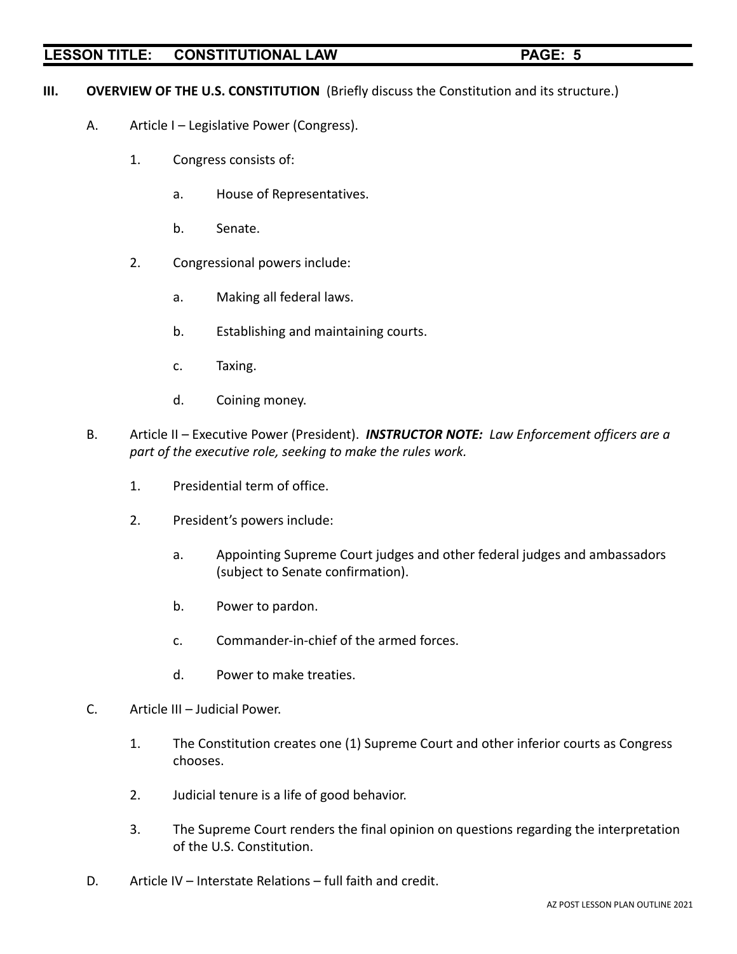- **III. OVERVIEW OF THE U.S. CONSTITUTION** (Briefly discuss the Constitution and its structure.)
	- A. Article I Legislative Power (Congress).
		- 1. Congress consists of:
			- a. House of Representatives.
			- b. Senate.
		- 2. Congressional powers include:
			- a. Making all federal laws.
			- b. Establishing and maintaining courts.
			- c. Taxing.
			- d. Coining money.
	- B. Article II Executive Power (President). *INSTRUCTOR NOTE: Law Enforcement officers are a part of the executive role, seeking to make the rules work.*
		- 1. Presidential term of office.
		- 2. President's powers include:
			- a. Appointing Supreme Court judges and other federal judges and ambassadors (subject to Senate confirmation).
			- b. Power to pardon.
			- c. Commander-in-chief of the armed forces.
			- d. Power to make treaties.
	- C. Article III Judicial Power.
		- 1. The Constitution creates one (1) Supreme Court and other inferior courts as Congress chooses.
		- 2. Judicial tenure is a life of good behavior.
		- 3. The Supreme Court renders the final opinion on questions regarding the interpretation of the U.S. Constitution.
	- D. Article IV Interstate Relations full faith and credit.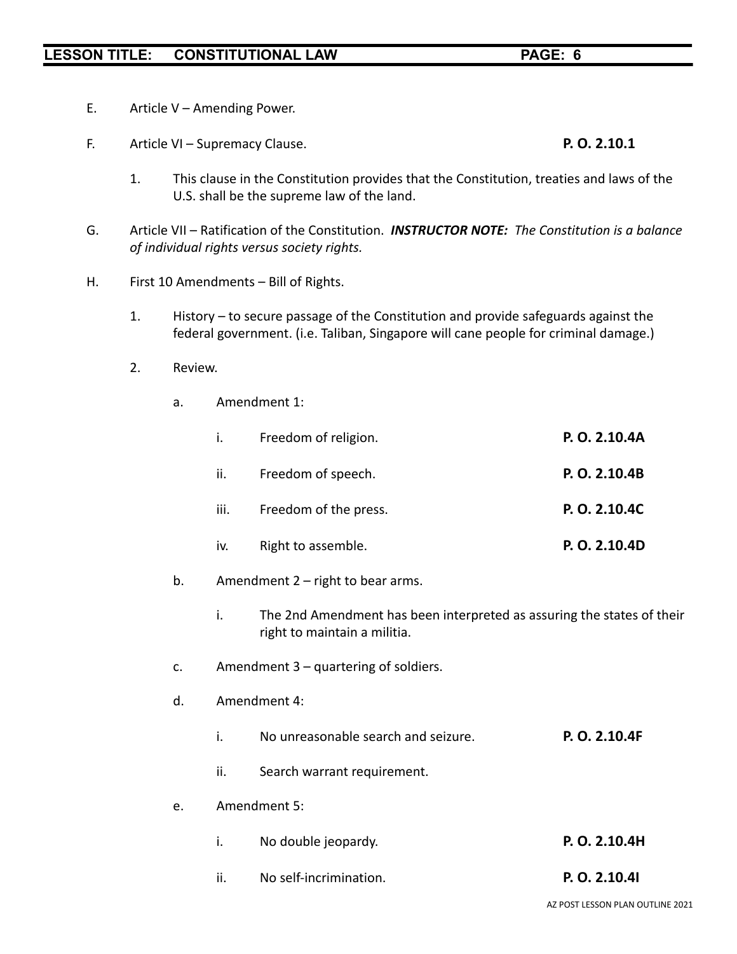- E. Article V Amending Power.
- F. Article VI Supremacy Clause. **P. O. 2.10.1**
	- 1. This clause in the Constitution provides that the Constitution, treaties and laws of the U.S. shall be the supreme law of the land.
- G. Article VII Ratification of the Constitution. *INSTRUCTOR NOTE: The Constitution is a balance of individual rights versus society rights.*
- H. First 10 Amendments Bill of Rights.
	- 1. History to secure passage of the Constitution and provide safeguards against the federal government. (i.e. Taliban, Singapore will cane people for criminal damage.)
	- 2. Review.
		- a. Amendment 1:

| i.   | Freedom of religion.  | P. O. 2.10.4A |
|------|-----------------------|---------------|
| ii.  | Freedom of speech.    | P. O. 2.10.4B |
| iii. | Freedom of the press. | P. O. 2.10.4C |
| iv.  | Right to assemble.    | P. O. 2.10.4D |
|      |                       |               |

- b. Amendment 2 right to bear arms.
	- i. The 2nd Amendment has been interpreted as assuring the states of their right to maintain a militia.
- c. Amendment 3 quartering of soldiers.
- d. Amendment 4:
	- i. No unreasonable search and seizure. **P. O. 2.10.4F**
	- ii. Search warrant requirement.
- e. Amendment 5:
	- i. No double jeopardy. **P. O. 2.10.4H**
	- ii. No self-incrimination. **P. O. 2.10.4I**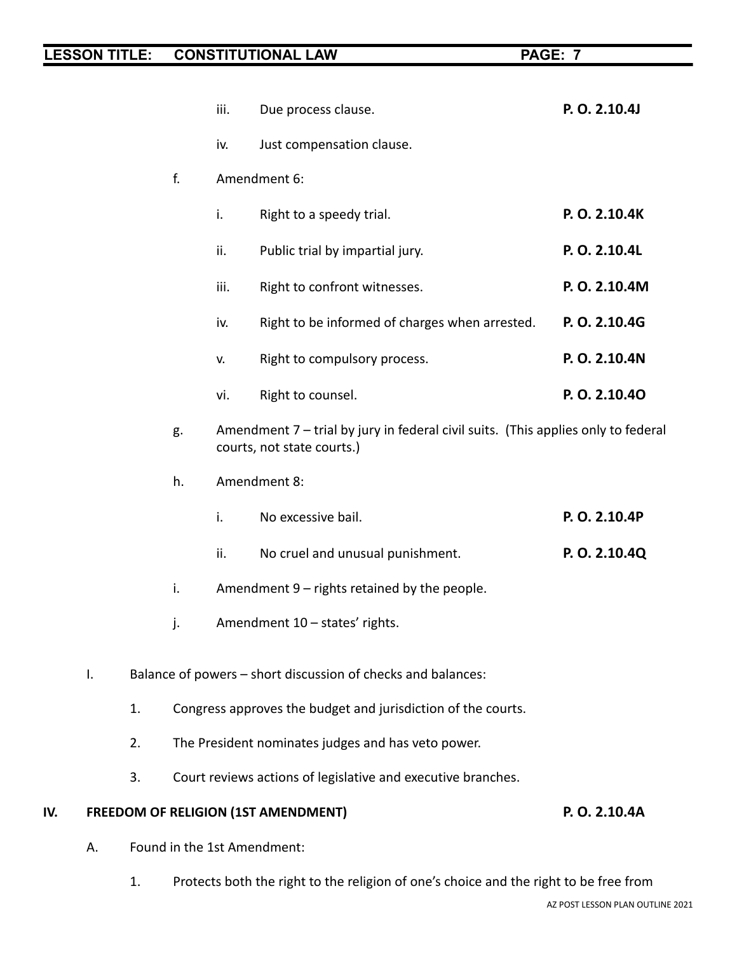|     |    |    |                                                              | iii. | Due process clause.                                                                                             | P. O. 2.10.4J |
|-----|----|----|--------------------------------------------------------------|------|-----------------------------------------------------------------------------------------------------------------|---------------|
|     |    |    |                                                              | iv.  | Just compensation clause.                                                                                       |               |
|     |    |    | f.                                                           |      | Amendment 6:                                                                                                    |               |
|     |    |    |                                                              | i.   | Right to a speedy trial.                                                                                        | P.O. 2.10.4K  |
|     |    |    |                                                              | ii.  | Public trial by impartial jury.                                                                                 | P. O. 2.10.4L |
|     |    |    |                                                              | iii. | Right to confront witnesses.                                                                                    | P.O. 2.10.4M  |
|     |    |    |                                                              | iv.  | Right to be informed of charges when arrested.                                                                  | P.O. 2.10.4G  |
|     |    |    |                                                              | V.   | Right to compulsory process.                                                                                    | P.O. 2.10.4N  |
|     |    |    |                                                              | vi.  | Right to counsel.                                                                                               | P.O. 2.10.40  |
|     |    |    | g.                                                           |      | Amendment 7 – trial by jury in federal civil suits. (This applies only to federal<br>courts, not state courts.) |               |
|     |    |    | h.                                                           |      | Amendment 8:                                                                                                    |               |
|     |    |    |                                                              | i.   | No excessive bail.                                                                                              | P.O. 2.10.4P  |
|     |    |    |                                                              | ii.  | No cruel and unusual punishment.                                                                                | P.O. 2.10.4Q  |
|     |    |    | i.                                                           |      | Amendment 9 - rights retained by the people.                                                                    |               |
|     |    |    | j.                                                           |      | Amendment 10 – states' rights.                                                                                  |               |
|     | I. |    | Balance of powers - short discussion of checks and balances: |      |                                                                                                                 |               |
|     |    | 1. |                                                              |      | Congress approves the budget and jurisdiction of the courts.                                                    |               |
|     |    | 2. |                                                              |      | The President nominates judges and has veto power.                                                              |               |
|     |    | 3. |                                                              |      | Court reviews actions of legislative and executive branches.                                                    |               |
| IV. |    |    |                                                              |      | <b>FREEDOM OF RELIGION (1ST AMENDMENT)</b>                                                                      | P. O. 2.10.4A |
|     | А. |    |                                                              |      | Found in the 1st Amendment:                                                                                     |               |
|     |    |    |                                                              |      |                                                                                                                 |               |

1. Protects both the right to the religion of one's choice and the right to be free from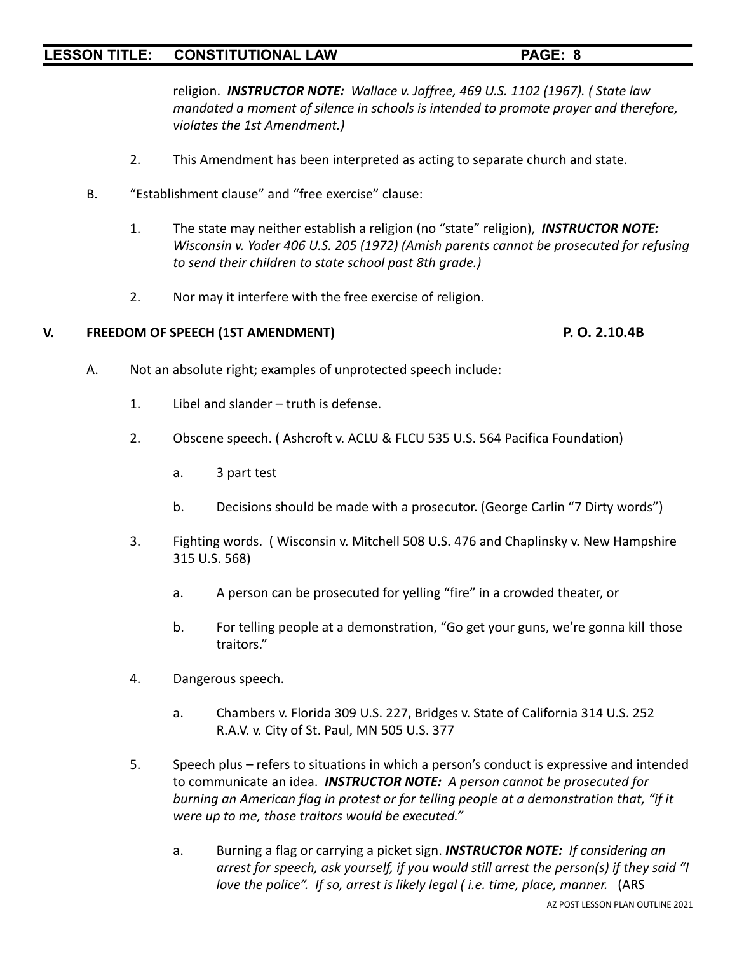religion. *INSTRUCTOR NOTE: Wallace v. Jaffree, 469 U.S. 1102 (1967). ( State law mandated a moment of silence in schools is intended to promote prayer and therefore, violates the 1st Amendment.)*

- 2. This Amendment has been interpreted as acting to separate church and state.
- B. "Establishment clause" and "free exercise" clause:
	- 1. The state may neither establish a religion (no "state" religion), *INSTRUCTOR NOTE: Wisconsin v. Yoder 406 U.S. 205 (1972) (Amish parents cannot be prosecuted for refusing to send their children to state school past 8th grade.)*
	- 2. Nor may it interfere with the free exercise of religion.

#### **V. FREEDOM OF SPEECH (1ST AMENDMENT) P. O. 2.10.4B**

- A. Not an absolute right; examples of unprotected speech include:
	- 1. Libel and slander truth is defense.
	- 2. Obscene speech. ( Ashcroft v. ACLU & FLCU 535 U.S. 564 Pacifica Foundation)
		- a. 3 part test
		- b. Decisions should be made with a prosecutor. (George Carlin "7 Dirty words")
	- 3. Fighting words. ( Wisconsin v. Mitchell 508 U.S. 476 and Chaplinsky v. New Hampshire 315 U.S. 568)
		- a. A person can be prosecuted for yelling "fire" in a crowded theater, or
		- b. For telling people at a demonstration, "Go get your guns, we're gonna kill those traitors."
	- 4. Dangerous speech.
		- a. Chambers v. Florida 309 U.S. 227, Bridges v. State of California 314 U.S. 252 R.A.V. v. City of St. Paul, MN 505 U.S. 377
	- 5. Speech plus refers to situations in which a person's conduct is expressive and intended to communicate an idea. *INSTRUCTOR NOTE: A person cannot be prosecuted for burning an American flag in protest or for telling people at a demonstration that, "if it were up to me, those traitors would be executed."*
		- a. Burning a flag or carrying a picket sign. *INSTRUCTOR NOTE: If considering an arrest for speech, ask yourself, if you would still arrest the person(s) if they said "I love the police". If so, arrest is likely legal ( i.e. time, place, manner.* (ARS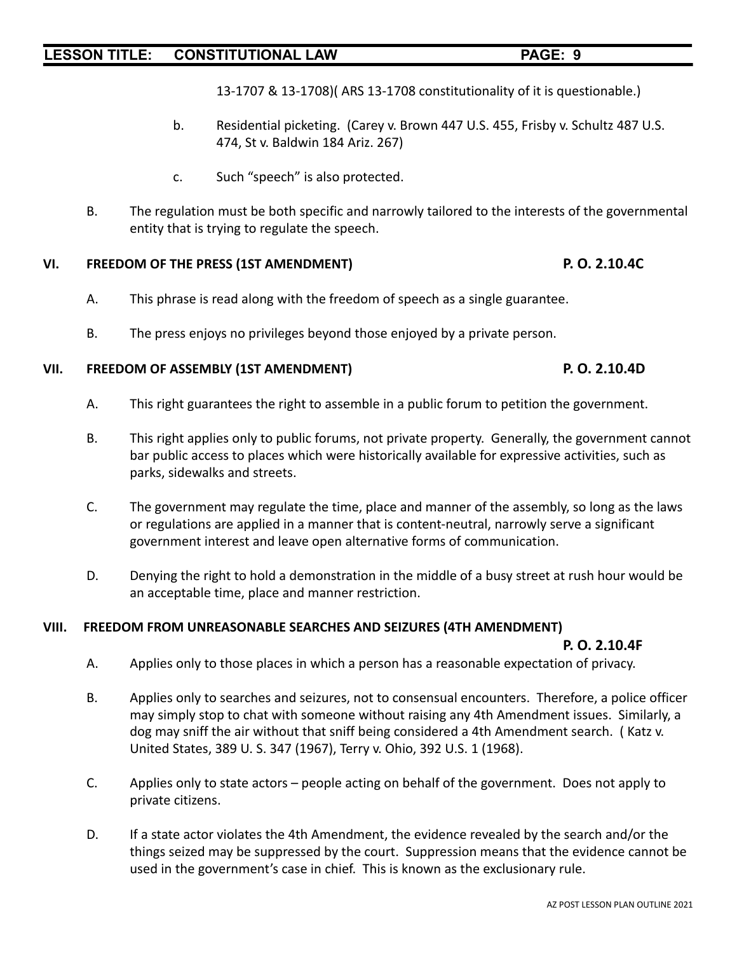13-1707 & 13-1708)( ARS 13-1708 constitutionality of it is questionable.)

- b. Residential picketing. (Carey v. Brown 447 U.S. 455, Frisby v. Schultz 487 U.S. 474, St v. Baldwin 184 Ariz. 267)
- c. Such "speech" is also protected.
- B. The regulation must be both specific and narrowly tailored to the interests of the governmental entity that is trying to regulate the speech.

## **VI. FREEDOM OF THE PRESS (1ST AMENDMENT) P. O. 2.10.4C**

- A. This phrase is read along with the freedom of speech as a single guarantee.
- B. The press enjoys no privileges beyond those enjoyed by a private person.

## **VII. FREEDOM OF ASSEMBLY (1ST AMENDMENT) P. O. 2.10.4D**

- A. This right guarantees the right to assemble in a public forum to petition the government.
- B. This right applies only to public forums, not private property. Generally, the government cannot bar public access to places which were historically available for expressive activities, such as parks, sidewalks and streets.
- C. The government may regulate the time, place and manner of the assembly, so long as the laws or regulations are applied in a manner that is content-neutral, narrowly serve a significant government interest and leave open alternative forms of communication.
- D. Denying the right to hold a demonstration in the middle of a busy street at rush hour would be an acceptable time, place and manner restriction.

## **VIII. FREEDOM FROM UNREASONABLE SEARCHES AND SEIZURES (4TH AMENDMENT)**

## **P. O. 2.10.4F**

- A. Applies only to those places in which a person has a reasonable expectation of privacy.
- B. Applies only to searches and seizures, not to consensual encounters. Therefore, a police officer may simply stop to chat with someone without raising any 4th Amendment issues. Similarly, a dog may sniff the air without that sniff being considered a 4th Amendment search. ( Katz v. United States, 389 U. S. 347 (1967), Terry v. Ohio, 392 U.S. 1 (1968).
- C. Applies only to state actors people acting on behalf of the government. Does not apply to private citizens.
- D. If a state actor violates the 4th Amendment, the evidence revealed by the search and/or the things seized may be suppressed by the court. Suppression means that the evidence cannot be used in the government's case in chief. This is known as the exclusionary rule.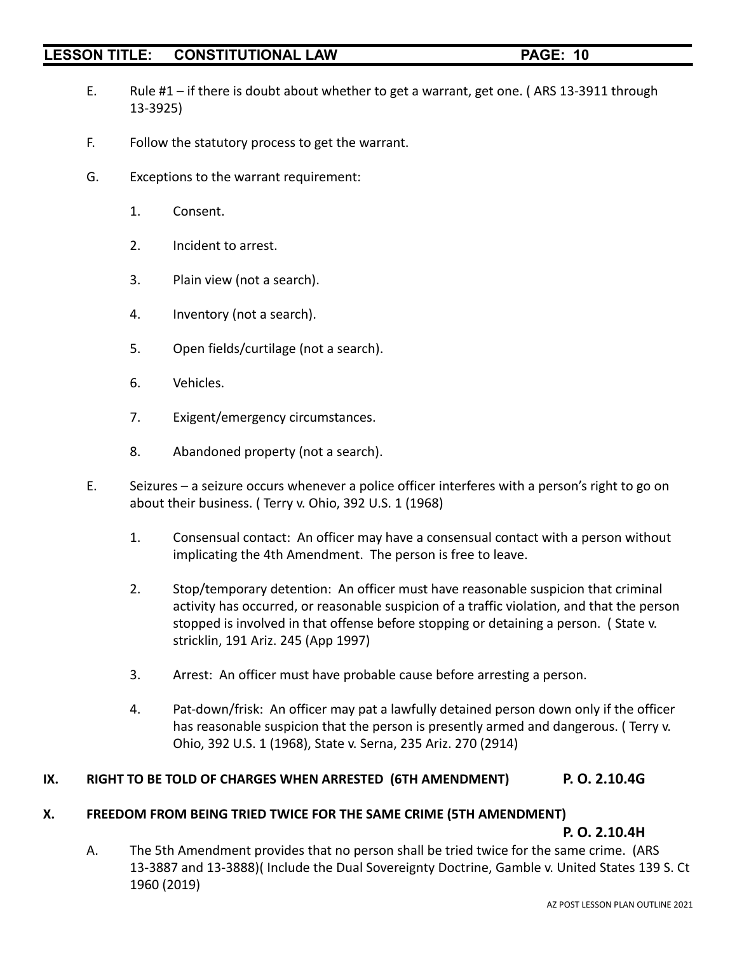- 
- E. Rule #1 if there is doubt about whether to get a warrant, get one. ( ARS 13-3911 through 13-3925)
- F. Follow the statutory process to get the warrant.
- G. Exceptions to the warrant requirement:
	- 1. Consent.
	- 2. Incident to arrest.
	- 3. Plain view (not a search).
	- 4. Inventory (not a search).
	- 5. Open fields/curtilage (not a search).
	- 6. Vehicles.
	- 7. Exigent/emergency circumstances.
	- 8. Abandoned property (not a search).
- E. Seizures a seizure occurs whenever a police officer interferes with a person's right to go on about their business. ( Terry v. Ohio, 392 U.S. 1 (1968)
	- 1. Consensual contact: An officer may have a consensual contact with a person without implicating the 4th Amendment. The person is free to leave.
	- 2. Stop/temporary detention: An officer must have reasonable suspicion that criminal activity has occurred, or reasonable suspicion of a traffic violation, and that the person stopped is involved in that offense before stopping or detaining a person. ( State v. stricklin, 191 Ariz. 245 (App 1997)
	- 3. Arrest: An officer must have probable cause before arresting a person.
	- 4. Pat-down/frisk: An officer may pat a lawfully detained person down only if the officer has reasonable suspicion that the person is presently armed and dangerous. ( Terry v. Ohio, 392 U.S. 1 (1968), State v. Serna, 235 Ariz. 270 (2914)

## **IX. RIGHT TO BE TOLD OF CHARGES WHEN ARRESTED (6TH AMENDMENT) P. O. 2.10.4G**

## **X. FREEDOM FROM BEING TRIED TWICE FOR THE SAME CRIME (5TH AMENDMENT)**

**P. O. 2.10.4H**

A. The 5th Amendment provides that no person shall be tried twice for the same crime. (ARS 13-3887 and 13-3888)( Include the Dual Sovereignty Doctrine, Gamble v. United States 139 S. Ct 1960 (2019)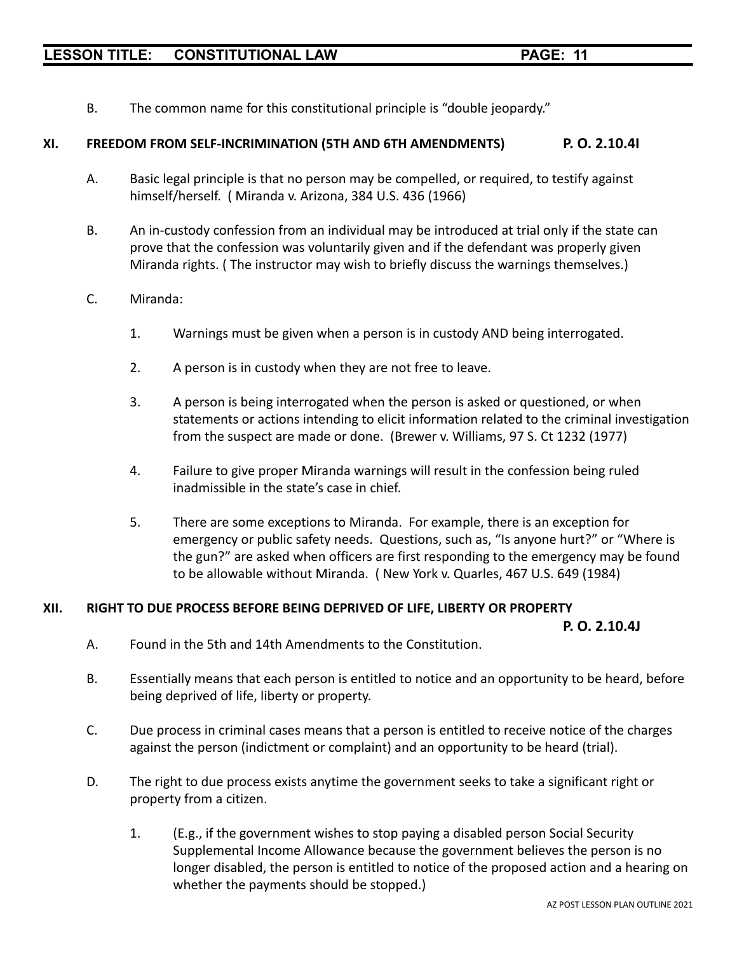B. The common name for this constitutional principle is "double jeopardy."

## **XI. FREEDOM FROM SELF-INCRIMINATION (5TH AND 6TH AMENDMENTS) P. O. 2.10.4I**

- A. Basic legal principle is that no person may be compelled, or required, to testify against himself/herself. ( Miranda v. Arizona, 384 U.S. 436 (1966)
- B. An in-custody confession from an individual may be introduced at trial only if the state can prove that the confession was voluntarily given and if the defendant was properly given Miranda rights. ( The instructor may wish to briefly discuss the warnings themselves.)

## C. Miranda:

- 1. Warnings must be given when a person is in custody AND being interrogated.
- 2. A person is in custody when they are not free to leave.
- 3. A person is being interrogated when the person is asked or questioned, or when statements or actions intending to elicit information related to the criminal investigation from the suspect are made or done. (Brewer v. Williams, 97 S. Ct 1232 (1977)
- 4. Failure to give proper Miranda warnings will result in the confession being ruled inadmissible in the state's case in chief.
- 5. There are some exceptions to Miranda. For example, there is an exception for emergency or public safety needs. Questions, such as, "Is anyone hurt?" or "Where is the gun?" are asked when officers are first responding to the emergency may be found to be allowable without Miranda. ( New York v. Quarles, 467 U.S. 649 (1984)

#### **XII. RIGHT TO DUE PROCESS BEFORE BEING DEPRIVED OF LIFE, LIBERTY OR PROPERTY**

**P. O. 2.10.4J**

- A. Found in the 5th and 14th Amendments to the Constitution.
- B. Essentially means that each person is entitled to notice and an opportunity to be heard, before being deprived of life, liberty or property.
- C. Due process in criminal cases means that a person is entitled to receive notice of the charges against the person (indictment or complaint) and an opportunity to be heard (trial).
- D. The right to due process exists anytime the government seeks to take a significant right or property from a citizen.
	- 1. (E.g., if the government wishes to stop paying a disabled person Social Security Supplemental Income Allowance because the government believes the person is no longer disabled, the person is entitled to notice of the proposed action and a hearing on whether the payments should be stopped.)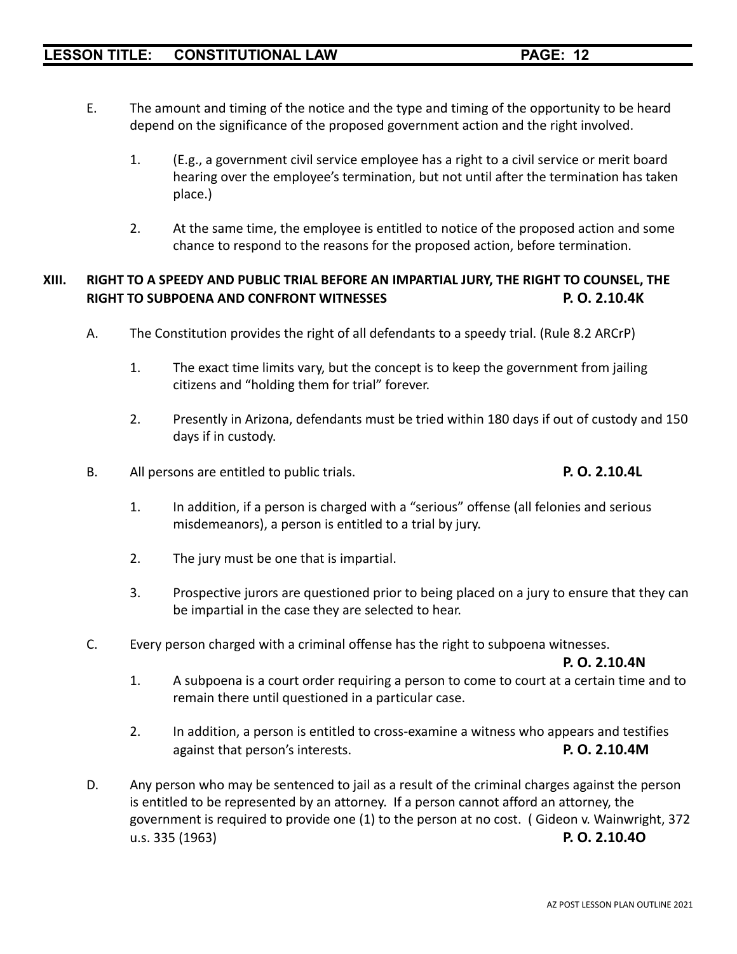- E. The amount and timing of the notice and the type and timing of the opportunity to be heard depend on the significance of the proposed government action and the right involved.
	- 1. (E.g., a government civil service employee has a right to a civil service or merit board hearing over the employee's termination, but not until after the termination has taken place.)
	- 2. At the same time, the employee is entitled to notice of the proposed action and some chance to respond to the reasons for the proposed action, before termination.

## **XIII. RIGHT TO A SPEEDY AND PUBLIC TRIAL BEFORE AN IMPARTIAL JURY, THE RIGHT TO COUNSEL, THE RIGHT TO SUBPOENA AND CONFRONT WITNESSES P. O. 2.10.4K**

- A. The Constitution provides the right of all defendants to a speedy trial. (Rule 8.2 ARCrP)
	- 1. The exact time limits vary, but the concept is to keep the government from jailing citizens and "holding them for trial" forever.
	- 2. Presently in Arizona, defendants must be tried within 180 days if out of custody and 150 days if in custody.
- B. All persons are entitled to public trials. **P. O. 2.10.4L**

- 1. In addition, if a person is charged with a "serious" offense (all felonies and serious misdemeanors), a person is entitled to a trial by jury.
- 2. The jury must be one that is impartial.
- 3. Prospective jurors are questioned prior to being placed on a jury to ensure that they can be impartial in the case they are selected to hear.
- C. Every person charged with a criminal offense has the right to subpoena witnesses.

**P. O. 2.10.4N**

- 1. A subpoena is a court order requiring a person to come to court at a certain time and to remain there until questioned in a particular case.
- 2. In addition, a person is entitled to cross-examine a witness who appears and testifies against that person's interests. **P. O. 2.10.4M**
- D. Any person who may be sentenced to jail as a result of the criminal charges against the person is entitled to be represented by an attorney. If a person cannot afford an attorney, the government is required to provide one (1) to the person at no cost. ( Gideon v. Wainwright, 372 u.s. 335 (1963) **P. O. 2.10.4O**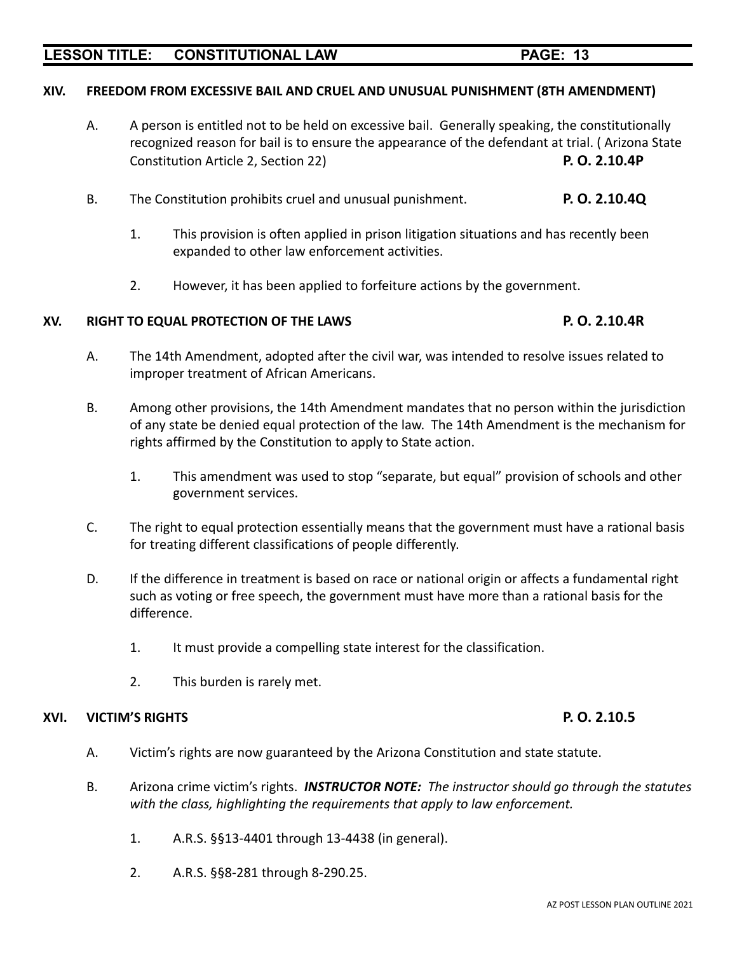## **XIV. FREEDOM FROM EXCESSIVE BAIL AND CRUEL AND UNUSUAL PUNISHMENT (8TH AMENDMENT)**

- A. A person is entitled not to be held on excessive bail. Generally speaking, the constitutionally recognized reason for bail is to ensure the appearance of the defendant at trial. ( Arizona State Constitution Article 2, Section 22) **P. O. 2.10.4P**
- B. The Constitution prohibits cruel and unusual punishment. **P. O. 2.10.4Q**
	- 1. This provision is often applied in prison litigation situations and has recently been expanded to other law enforcement activities.
	- 2. However, it has been applied to forfeiture actions by the government.

#### **XV. RIGHT TO EQUAL PROTECTION OF THE LAWS P. O. 2.10.4R**

- A. The 14th Amendment, adopted after the civil war, was intended to resolve issues related to improper treatment of African Americans.
- B. Among other provisions, the 14th Amendment mandates that no person within the jurisdiction of any state be denied equal protection of the law. The 14th Amendment is the mechanism for rights affirmed by the Constitution to apply to State action.
	- 1. This amendment was used to stop "separate, but equal" provision of schools and other government services.
- C. The right to equal protection essentially means that the government must have a rational basis for treating different classifications of people differently.
- D. If the difference in treatment is based on race or national origin or affects a fundamental right such as voting or free speech, the government must have more than a rational basis for the difference.
	- 1. It must provide a compelling state interest for the classification.
	- 2. This burden is rarely met.

### **XVI. VICTIM'S RIGHTS P. O. 2.10.5**

- A. Victim's rights are now guaranteed by the Arizona Constitution and state statute.
- B. Arizona crime victim's rights. *INSTRUCTOR NOTE: The instructor should go through the statutes with the class, highlighting the requirements that apply to law enforcement.*
	- 1. A.R.S. §§13-4401 through 13-4438 (in general).
	- 2. A.R.S. §§8-281 through 8-290.25.